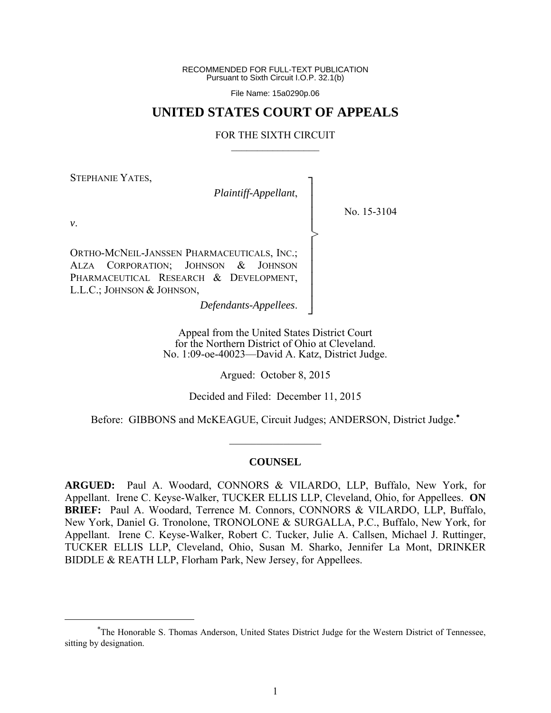RECOMMENDED FOR FULL-TEXT PUBLICATION Pursuant to Sixth Circuit I.O.P. 32.1(b)

File Name: 15a0290p.06

# **UNITED STATES COURT OF APPEALS**

## FOR THE SIXTH CIRCUIT  $\mathcal{L}_\text{max}$

┐ │ │ │ │ │ │ │ │ │ │ ┘

>

STEPHANIE YATES,

*Plaintiff-Appellant*,

No. 15-3104

*v*.

1

ORTHO-MCNEIL-JANSSEN PHARMACEUTICALS, INC.; ALZA CORPORATION; JOHNSON & JOHNSON PHARMACEUTICAL RESEARCH & DEVELOPMENT, L.L.C.; JOHNSON & JOHNSON,

*Defendants-Appellees*.

Appeal from the United States District Court for the Northern District of Ohio at Cleveland. No. 1:09-oe-40023—David A. Katz, District Judge.

Argued: October 8, 2015

Decided and Filed: December 11, 2015

Before: GIBBONS and McKEAGUE, Circuit Judges; ANDERSON, District Judge.

 $\frac{1}{2}$ 

#### **COUNSEL**

**ARGUED:** Paul A. Woodard, CONNORS & VILARDO, LLP, Buffalo, New York, for Appellant. Irene C. Keyse-Walker, TUCKER ELLIS LLP, Cleveland, Ohio, for Appellees. **ON BRIEF:** Paul A. Woodard, Terrence M. Connors, CONNORS & VILARDO, LLP, Buffalo, New York, Daniel G. Tronolone, TRONOLONE & SURGALLA, P.C., Buffalo, New York, for Appellant. Irene C. Keyse-Walker, Robert C. Tucker, Julie A. Callsen, Michael J. Ruttinger, TUCKER ELLIS LLP, Cleveland, Ohio, Susan M. Sharko, Jennifer La Mont, DRINKER BIDDLE & REATH LLP, Florham Park, New Jersey, for Appellees.

The Honorable S. Thomas Anderson, United States District Judge for the Western District of Tennessee, sitting by designation.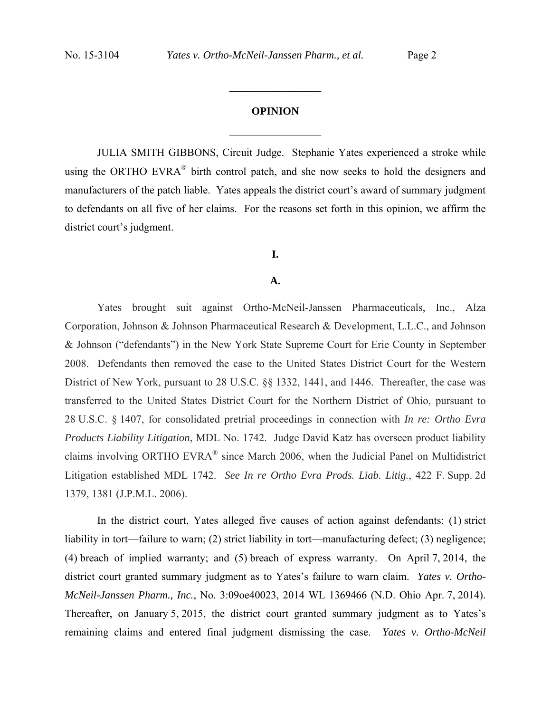# **OPINION**  $\frac{1}{2}$

 $\frac{1}{2}$  ,  $\frac{1}{2}$  ,  $\frac{1}{2}$  ,  $\frac{1}{2}$  ,  $\frac{1}{2}$  ,  $\frac{1}{2}$  ,  $\frac{1}{2}$  ,  $\frac{1}{2}$  ,  $\frac{1}{2}$ 

JULIA SMITH GIBBONS, Circuit Judge. Stephanie Yates experienced a stroke while using the ORTHO EVRA<sup>®</sup> birth control patch, and she now seeks to hold the designers and manufacturers of the patch liable. Yates appeals the district court's award of summary judgment to defendants on all five of her claims. For the reasons set forth in this opinion, we affirm the district court's judgment.

# **I.**

## **A.**

Yates brought suit against Ortho-McNeil-Janssen Pharmaceuticals, Inc., Alza Corporation, Johnson & Johnson Pharmaceutical Research & Development, L.L.C., and Johnson & Johnson ("defendants") in the New York State Supreme Court for Erie County in September 2008. Defendants then removed the case to the United States District Court for the Western District of New York, pursuant to 28 U.S.C. §§ 1332, 1441, and 1446. Thereafter, the case was transferred to the United States District Court for the Northern District of Ohio, pursuant to 28 U.S.C. § 1407, for consolidated pretrial proceedings in connection with *In re: Ortho Evra Products Liability Litigation*, MDL No. 1742. Judge David Katz has overseen product liability claims involving ORTHO EVRA® since March 2006, when the Judicial Panel on Multidistrict Litigation established MDL 1742. *See In re Ortho Evra Prods. Liab. Litig.*, 422 F. Supp. 2d 1379, 1381 (J.P.M.L. 2006).

In the district court, Yates alleged five causes of action against defendants: (1) strict liability in tort—failure to warn; (2) strict liability in tort—manufacturing defect; (3) negligence; (4) breach of implied warranty; and (5) breach of express warranty. On April 7, 2014, the district court granted summary judgment as to Yates's failure to warn claim. *Yates v. Ortho-McNeil-Janssen Pharm., Inc.*, No. 3:09oe40023, 2014 WL 1369466 (N.D. Ohio Apr. 7, 2014). Thereafter, on January 5, 2015, the district court granted summary judgment as to Yates's remaining claims and entered final judgment dismissing the case. *Yates v. Ortho-McNeil*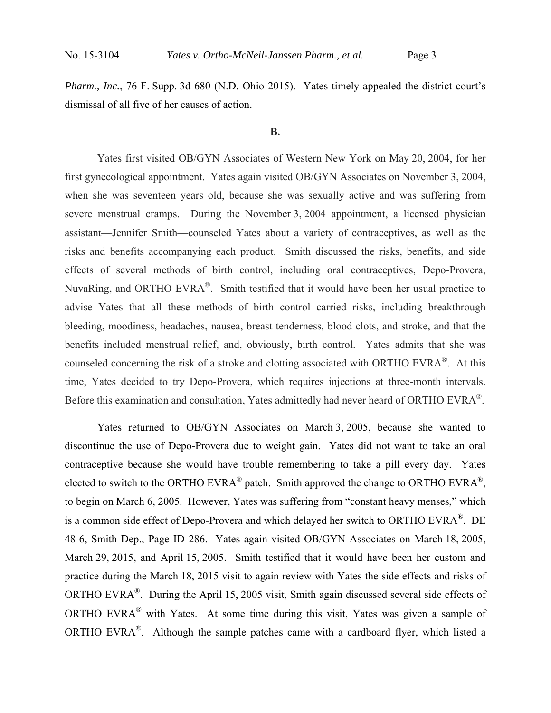*Pharm., Inc.*, 76 F. Supp. 3d 680 (N.D. Ohio 2015). Yates timely appealed the district court's dismissal of all five of her causes of action.

#### **B.**

 Yates first visited OB/GYN Associates of Western New York on May 20, 2004, for her first gynecological appointment. Yates again visited OB/GYN Associates on November 3, 2004, when she was seventeen years old, because she was sexually active and was suffering from severe menstrual cramps. During the November 3, 2004 appointment, a licensed physician assistant—Jennifer Smith—counseled Yates about a variety of contraceptives, as well as the risks and benefits accompanying each product. Smith discussed the risks, benefits, and side effects of several methods of birth control, including oral contraceptives, Depo-Provera, NuvaRing, and ORTHO EVRA®. Smith testified that it would have been her usual practice to advise Yates that all these methods of birth control carried risks, including breakthrough bleeding, moodiness, headaches, nausea, breast tenderness, blood clots, and stroke, and that the benefits included menstrual relief, and, obviously, birth control. Yates admits that she was counseled concerning the risk of a stroke and clotting associated with ORTHO EVRA®. At this time, Yates decided to try Depo-Provera, which requires injections at three-month intervals. Before this examination and consultation, Yates admittedly had never heard of ORTHO EVRA<sup>®</sup>.

 Yates returned to OB/GYN Associates on March 3, 2005, because she wanted to discontinue the use of Depo-Provera due to weight gain. Yates did not want to take an oral contraceptive because she would have trouble remembering to take a pill every day. Yates elected to switch to the ORTHO EVRA<sup>®</sup> patch. Smith approved the change to ORTHO EVRA<sup>®</sup>, to begin on March 6, 2005. However, Yates was suffering from "constant heavy menses," which is a common side effect of Depo-Provera and which delayed her switch to ORTHO EVRA<sup>®</sup>. DE 48-6, Smith Dep., Page ID 286. Yates again visited OB/GYN Associates on March 18, 2005, March 29, 2015, and April 15, 2005. Smith testified that it would have been her custom and practice during the March 18, 2015 visit to again review with Yates the side effects and risks of ORTHO EVRA®. During the April 15, 2005 visit, Smith again discussed several side effects of ORTHO EVRA® with Yates. At some time during this visit, Yates was given a sample of ORTHO EVRA®. Although the sample patches came with a cardboard flyer, which listed a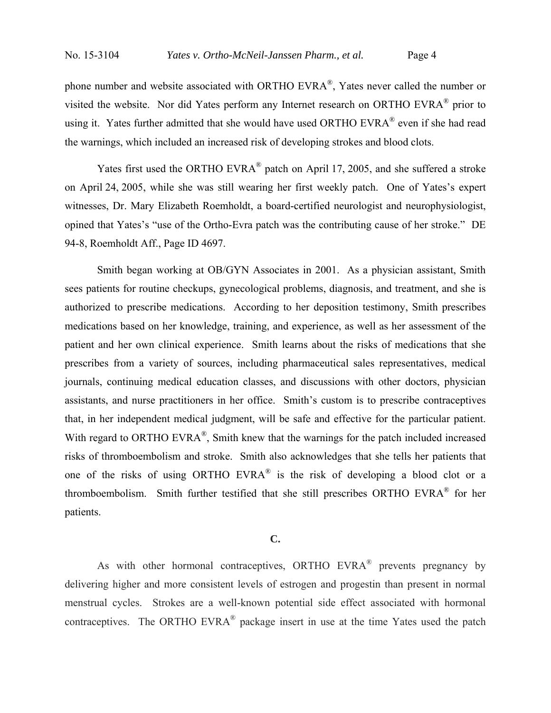phone number and website associated with ORTHO EVRA®, Yates never called the number or visited the website. Nor did Yates perform any Internet research on ORTHO EVRA® prior to using it. Yates further admitted that she would have used ORTHO EVRA<sup>®</sup> even if she had read the warnings, which included an increased risk of developing strokes and blood clots.

Yates first used the ORTHO EVRA® patch on April 17, 2005, and she suffered a stroke on April 24, 2005, while she was still wearing her first weekly patch. One of Yates's expert witnesses, Dr. Mary Elizabeth Roemholdt, a board-certified neurologist and neurophysiologist, opined that Yates's "use of the Ortho-Evra patch was the contributing cause of her stroke." DE 94-8, Roemholdt Aff., Page ID 4697.

 Smith began working at OB/GYN Associates in 2001. As a physician assistant, Smith sees patients for routine checkups, gynecological problems, diagnosis, and treatment, and she is authorized to prescribe medications. According to her deposition testimony, Smith prescribes medications based on her knowledge, training, and experience, as well as her assessment of the patient and her own clinical experience. Smith learns about the risks of medications that she prescribes from a variety of sources, including pharmaceutical sales representatives, medical journals, continuing medical education classes, and discussions with other doctors, physician assistants, and nurse practitioners in her office. Smith's custom is to prescribe contraceptives that, in her independent medical judgment, will be safe and effective for the particular patient. With regard to ORTHO EVRA<sup>®</sup>, Smith knew that the warnings for the patch included increased risks of thromboembolism and stroke. Smith also acknowledges that she tells her patients that one of the risks of using ORTHO EVRA® is the risk of developing a blood clot or a thromboembolism. Smith further testified that she still prescribes ORTHO EVRA® for her patients.

## **C.**

As with other hormonal contraceptives, ORTHO EVRA<sup>®</sup> prevents pregnancy by delivering higher and more consistent levels of estrogen and progestin than present in normal menstrual cycles. Strokes are a well-known potential side effect associated with hormonal contraceptives. The ORTHO EVRA® package insert in use at the time Yates used the patch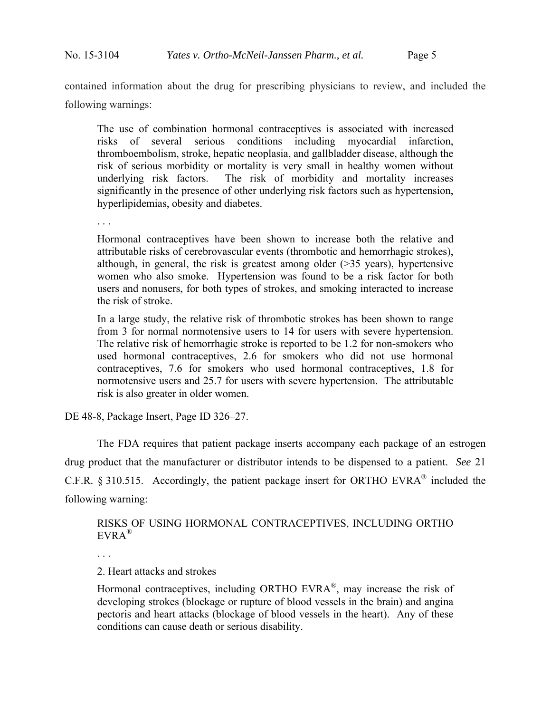contained information about the drug for prescribing physicians to review, and included the following warnings:

The use of combination hormonal contraceptives is associated with increased risks of several serious conditions including myocardial infarction, thromboembolism, stroke, hepatic neoplasia, and gallbladder disease, although the risk of serious morbidity or mortality is very small in healthy women without underlying risk factors. The risk of morbidity and mortality increases significantly in the presence of other underlying risk factors such as hypertension, hyperlipidemias, obesity and diabetes.

. . .

Hormonal contraceptives have been shown to increase both the relative and attributable risks of cerebrovascular events (thrombotic and hemorrhagic strokes), although, in general, the risk is greatest among older (>35 years), hypertensive women who also smoke. Hypertension was found to be a risk factor for both users and nonusers, for both types of strokes, and smoking interacted to increase the risk of stroke.

In a large study, the relative risk of thrombotic strokes has been shown to range from 3 for normal normotensive users to 14 for users with severe hypertension. The relative risk of hemorrhagic stroke is reported to be 1.2 for non-smokers who used hormonal contraceptives, 2.6 for smokers who did not use hormonal contraceptives, 7.6 for smokers who used hormonal contraceptives, 1.8 for normotensive users and 25.7 for users with severe hypertension. The attributable risk is also greater in older women.

DE 48-8, Package Insert, Page ID 326–27.

 The FDA requires that patient package inserts accompany each package of an estrogen drug product that the manufacturer or distributor intends to be dispensed to a patient. *See* 21 C.F.R. § 310.515. Accordingly, the patient package insert for ORTHO EVRA® included the following warning:

RISKS OF USING HORMONAL CONTRACEPTIVES, INCLUDING ORTHO EVRA®

2. Heart attacks and strokes

Hormonal contraceptives, including ORTHO EVRA®, may increase the risk of developing strokes (blockage or rupture of blood vessels in the brain) and angina pectoris and heart attacks (blockage of blood vessels in the heart). Any of these conditions can cause death or serious disability.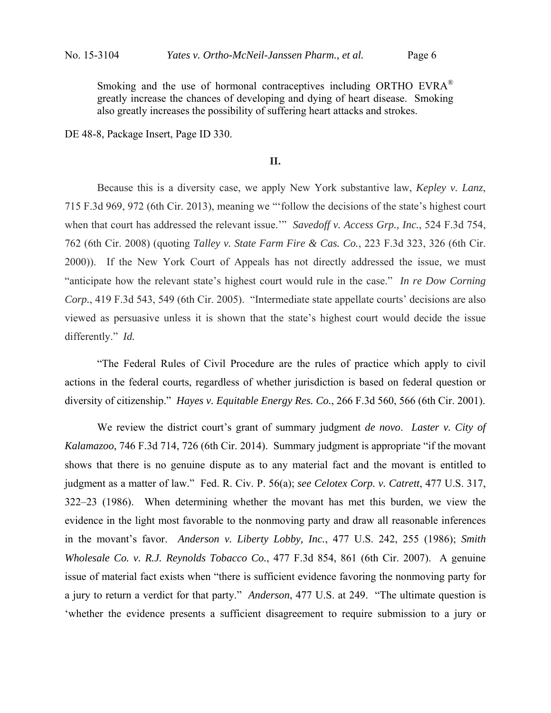Smoking and the use of hormonal contraceptives including ORTHO EVRA® greatly increase the chances of developing and dying of heart disease. Smoking also greatly increases the possibility of suffering heart attacks and strokes.

DE 48-8, Package Insert, Page ID 330.

# **II.**

 Because this is a diversity case, we apply New York substantive law, *Kepley v. Lanz*, 715 F.3d 969, 972 (6th Cir. 2013), meaning we "'follow the decisions of the state's highest court when that court has addressed the relevant issue.'" *Savedoff v. Access Grp., Inc.*, 524 F.3d 754, 762 (6th Cir. 2008) (quoting *Talley v. State Farm Fire & Cas. Co.*, 223 F.3d 323, 326 (6th Cir. 2000)). If the New York Court of Appeals has not directly addressed the issue, we must "anticipate how the relevant state's highest court would rule in the case." *In re Dow Corning Corp.*, 419 F.3d 543, 549 (6th Cir. 2005). "Intermediate state appellate courts' decisions are also viewed as persuasive unless it is shown that the state's highest court would decide the issue differently." *Id.*

"The Federal Rules of Civil Procedure are the rules of practice which apply to civil actions in the federal courts, regardless of whether jurisdiction is based on federal question or diversity of citizenship." *Hayes v. Equitable Energy Res. Co.*, 266 F.3d 560, 566 (6th Cir. 2001).

We review the district court's grant of summary judgment *de novo*. *Laster v. City of Kalamazoo*, 746 F.3d 714, 726 (6th Cir. 2014). Summary judgment is appropriate "if the movant shows that there is no genuine dispute as to any material fact and the movant is entitled to judgment as a matter of law." Fed. R. Civ. P. 56(a); *see Celotex Corp. v. Catrett*, 477 U.S. 317, 322–23 (1986). When determining whether the movant has met this burden, we view the evidence in the light most favorable to the nonmoving party and draw all reasonable inferences in the movant's favor. *Anderson v. Liberty Lobby, Inc.*, 477 U.S. 242, 255 (1986); *Smith Wholesale Co. v. R.J. Reynolds Tobacco Co.*, 477 F.3d 854, 861 (6th Cir. 2007). A genuine issue of material fact exists when "there is sufficient evidence favoring the nonmoving party for a jury to return a verdict for that party." *Anderson*, 477 U.S. at 249. "The ultimate question is 'whether the evidence presents a sufficient disagreement to require submission to a jury or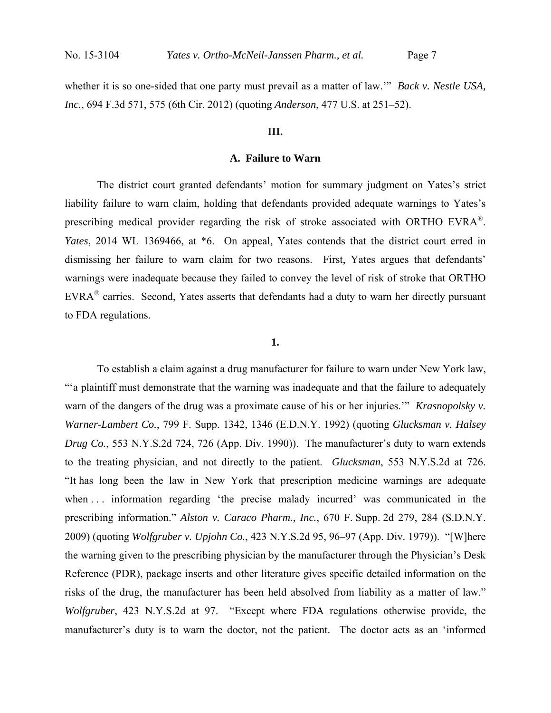whether it is so one-sided that one party must prevail as a matter of law.'" *Back v. Nestle USA, Inc.*, 694 F.3d 571, 575 (6th Cir. 2012) (quoting *Anderson*, 477 U.S. at 251–52).

#### **III.**

# **A. Failure to Warn**

The district court granted defendants' motion for summary judgment on Yates's strict liability failure to warn claim, holding that defendants provided adequate warnings to Yates's prescribing medical provider regarding the risk of stroke associated with ORTHO EVRA®. *Yates*, 2014 WL 1369466, at \*6. On appeal, Yates contends that the district court erred in dismissing her failure to warn claim for two reasons. First, Yates argues that defendants' warnings were inadequate because they failed to convey the level of risk of stroke that ORTHO EVRA® carries. Second, Yates asserts that defendants had a duty to warn her directly pursuant to FDA regulations.

## **1.**

To establish a claim against a drug manufacturer for failure to warn under New York law, "'a plaintiff must demonstrate that the warning was inadequate and that the failure to adequately warn of the dangers of the drug was a proximate cause of his or her injuries.'" *Krasnopolsky v. Warner-Lambert Co.*, 799 F. Supp. 1342, 1346 (E.D.N.Y. 1992) (quoting *Glucksman v. Halsey Drug Co.*, 553 N.Y.S.2d 724, 726 (App. Div. 1990)). The manufacturer's duty to warn extends to the treating physician, and not directly to the patient. *Glucksman*, 553 N.Y.S.2d at 726. "It has long been the law in New York that prescription medicine warnings are adequate when ... information regarding 'the precise malady incurred' was communicated in the prescribing information." *Alston v. Caraco Pharm., Inc.*, 670 F. Supp. 2d 279, 284 (S.D.N.Y. 2009) (quoting *Wolfgruber v. Upjohn Co.*, 423 N.Y.S.2d 95, 96–97 (App. Div. 1979)). "[W]here the warning given to the prescribing physician by the manufacturer through the Physician's Desk Reference (PDR), package inserts and other literature gives specific detailed information on the risks of the drug, the manufacturer has been held absolved from liability as a matter of law." *Wolfgruber*, 423 N.Y.S.2d at 97. "Except where FDA regulations otherwise provide, the manufacturer's duty is to warn the doctor, not the patient. The doctor acts as an 'informed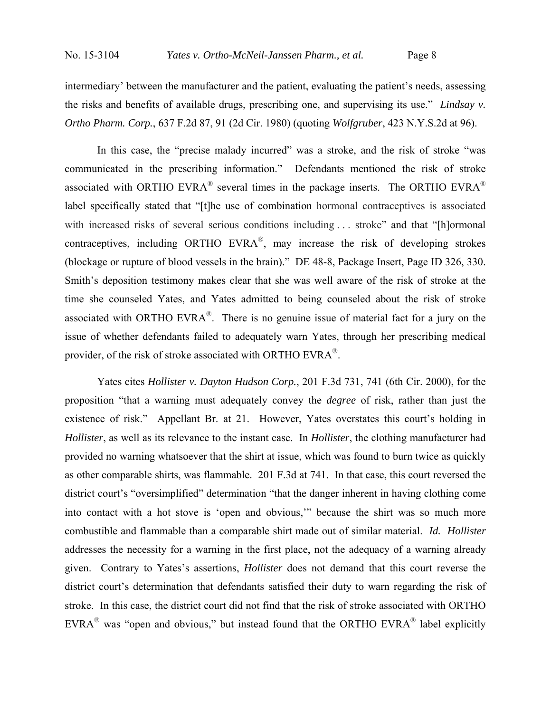intermediary' between the manufacturer and the patient, evaluating the patient's needs, assessing the risks and benefits of available drugs, prescribing one, and supervising its use." *Lindsay v. Ortho Pharm. Corp.*, 637 F.2d 87, 91 (2d Cir. 1980) (quoting *Wolfgruber*, 423 N.Y.S.2d at 96).

In this case, the "precise malady incurred" was a stroke, and the risk of stroke "was communicated in the prescribing information." Defendants mentioned the risk of stroke associated with ORTHO EVRA<sup>®</sup> several times in the package inserts. The ORTHO EVRA<sup>®</sup> label specifically stated that "[t]he use of combination hormonal contraceptives is associated with increased risks of several serious conditions including ... stroke" and that "[h]ormonal contraceptives, including ORTHO EVRA®, may increase the risk of developing strokes (blockage or rupture of blood vessels in the brain)." DE 48-8, Package Insert, Page ID 326, 330. Smith's deposition testimony makes clear that she was well aware of the risk of stroke at the time she counseled Yates, and Yates admitted to being counseled about the risk of stroke associated with ORTHO EVRA<sup>®</sup>. There is no genuine issue of material fact for a jury on the issue of whether defendants failed to adequately warn Yates, through her prescribing medical provider, of the risk of stroke associated with ORTHO EVRA®.

Yates cites *Hollister v. Dayton Hudson Corp.*, 201 F.3d 731, 741 (6th Cir. 2000), for the proposition "that a warning must adequately convey the *degree* of risk, rather than just the existence of risk." Appellant Br. at 21. However, Yates overstates this court's holding in *Hollister*, as well as its relevance to the instant case. In *Hollister*, the clothing manufacturer had provided no warning whatsoever that the shirt at issue, which was found to burn twice as quickly as other comparable shirts, was flammable. 201 F.3d at 741. In that case, this court reversed the district court's "oversimplified" determination "that the danger inherent in having clothing come into contact with a hot stove is 'open and obvious,'" because the shirt was so much more combustible and flammable than a comparable shirt made out of similar material. *Id. Hollister* addresses the necessity for a warning in the first place, not the adequacy of a warning already given. Contrary to Yates's assertions, *Hollister* does not demand that this court reverse the district court's determination that defendants satisfied their duty to warn regarding the risk of stroke. In this case, the district court did not find that the risk of stroke associated with ORTHO  $EVRA^{\circledR}$  was "open and obvious," but instead found that the ORTHO EVRA $^{\circledR}$  label explicitly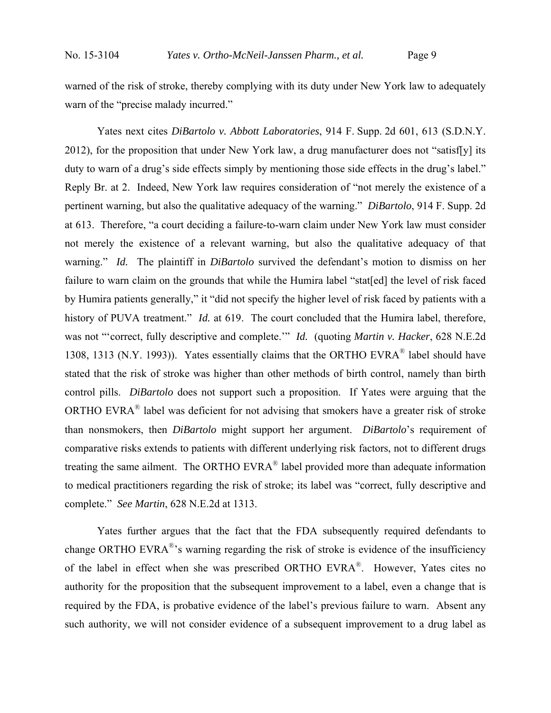warned of the risk of stroke, thereby complying with its duty under New York law to adequately warn of the "precise malady incurred."

Yates next cites *DiBartolo v. Abbott Laboratories*, 914 F. Supp. 2d 601, 613 (S.D.N.Y. 2012), for the proposition that under New York law, a drug manufacturer does not "satisf[y] its duty to warn of a drug's side effects simply by mentioning those side effects in the drug's label." Reply Br. at 2. Indeed, New York law requires consideration of "not merely the existence of a pertinent warning, but also the qualitative adequacy of the warning." *DiBartolo*, 914 F. Supp. 2d at 613. Therefore, "a court deciding a failure-to-warn claim under New York law must consider not merely the existence of a relevant warning, but also the qualitative adequacy of that warning." *Id.* The plaintiff in *DiBartolo* survived the defendant's motion to dismiss on her failure to warn claim on the grounds that while the Humira label "stat[ed] the level of risk faced by Humira patients generally," it "did not specify the higher level of risk faced by patients with a history of PUVA treatment." *Id.* at 619. The court concluded that the Humira label, therefore, was not "'correct, fully descriptive and complete.'" *Id.* (quoting *Martin v. Hacker*, 628 N.E.2d 1308, 1313 (N.Y. 1993)). Yates essentially claims that the ORTHO EVRA<sup>®</sup> label should have stated that the risk of stroke was higher than other methods of birth control, namely than birth control pills. *DiBartolo* does not support such a proposition. If Yates were arguing that the ORTHO EVRA® label was deficient for not advising that smokers have a greater risk of stroke than nonsmokers, then *DiBartolo* might support her argument. *DiBartolo*'s requirement of comparative risks extends to patients with different underlying risk factors, not to different drugs treating the same ailment. The ORTHO EVRA® label provided more than adequate information to medical practitioners regarding the risk of stroke; its label was "correct, fully descriptive and complete." *See Martin*, 628 N.E.2d at 1313.

Yates further argues that the fact that the FDA subsequently required defendants to change ORTHO EVRA<sup>®</sup>'s warning regarding the risk of stroke is evidence of the insufficiency of the label in effect when she was prescribed ORTHO EVRA®. However, Yates cites no authority for the proposition that the subsequent improvement to a label, even a change that is required by the FDA, is probative evidence of the label's previous failure to warn. Absent any such authority, we will not consider evidence of a subsequent improvement to a drug label as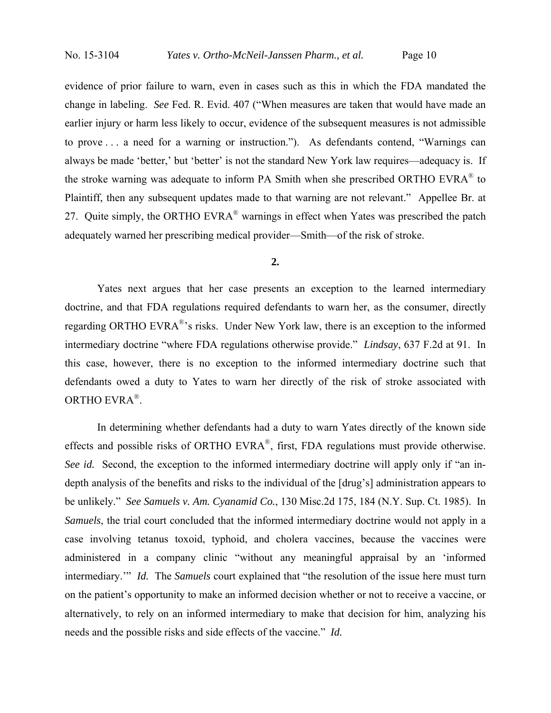evidence of prior failure to warn, even in cases such as this in which the FDA mandated the change in labeling. *See* Fed. R. Evid. 407 ("When measures are taken that would have made an earlier injury or harm less likely to occur, evidence of the subsequent measures is not admissible to prove . . . a need for a warning or instruction."). As defendants contend, "Warnings can always be made 'better,' but 'better' is not the standard New York law requires—adequacy is. If the stroke warning was adequate to inform PA Smith when she prescribed ORTHO EVRA® to Plaintiff, then any subsequent updates made to that warning are not relevant." Appellee Br. at 27. Quite simply, the ORTHO EVRA<sup>®</sup> warnings in effect when Yates was prescribed the patch adequately warned her prescribing medical provider—Smith—of the risk of stroke.

#### **2.**

Yates next argues that her case presents an exception to the learned intermediary doctrine, and that FDA regulations required defendants to warn her, as the consumer, directly regarding ORTHO EVRA<sup>®</sup>'s risks. Under New York law, there is an exception to the informed intermediary doctrine "where FDA regulations otherwise provide." *Lindsay*, 637 F.2d at 91. In this case, however, there is no exception to the informed intermediary doctrine such that defendants owed a duty to Yates to warn her directly of the risk of stroke associated with ORTHO EVRA®.

In determining whether defendants had a duty to warn Yates directly of the known side effects and possible risks of ORTHO EVRA®, first, FDA regulations must provide otherwise. *See id.* Second, the exception to the informed intermediary doctrine will apply only if "an indepth analysis of the benefits and risks to the individual of the [drug's] administration appears to be unlikely." *See Samuels v. Am. Cyanamid Co.*, 130 Misc.2d 175, 184 (N.Y. Sup. Ct. 1985). In *Samuels*, the trial court concluded that the informed intermediary doctrine would not apply in a case involving tetanus toxoid, typhoid, and cholera vaccines, because the vaccines were administered in a company clinic "without any meaningful appraisal by an 'informed intermediary.'" *Id.* The *Samuels* court explained that "the resolution of the issue here must turn on the patient's opportunity to make an informed decision whether or not to receive a vaccine, or alternatively, to rely on an informed intermediary to make that decision for him, analyzing his needs and the possible risks and side effects of the vaccine." *Id.*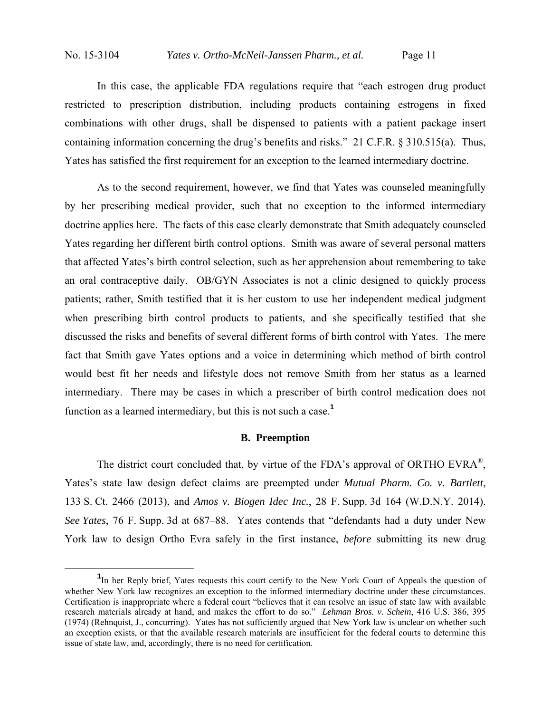In this case, the applicable FDA regulations require that "each estrogen drug product restricted to prescription distribution, including products containing estrogens in fixed combinations with other drugs, shall be dispensed to patients with a patient package insert containing information concerning the drug's benefits and risks." 21 C.F.R. § 310.515(a). Thus, Yates has satisfied the first requirement for an exception to the learned intermediary doctrine.

 As to the second requirement, however, we find that Yates was counseled meaningfully by her prescribing medical provider, such that no exception to the informed intermediary doctrine applies here. The facts of this case clearly demonstrate that Smith adequately counseled Yates regarding her different birth control options. Smith was aware of several personal matters that affected Yates's birth control selection, such as her apprehension about remembering to take an oral contraceptive daily. OB/GYN Associates is not a clinic designed to quickly process patients; rather, Smith testified that it is her custom to use her independent medical judgment when prescribing birth control products to patients, and she specifically testified that she discussed the risks and benefits of several different forms of birth control with Yates. The mere fact that Smith gave Yates options and a voice in determining which method of birth control would best fit her needs and lifestyle does not remove Smith from her status as a learned intermediary. There may be cases in which a prescriber of birth control medication does not function as a learned intermediary, but this is not such a case.**<sup>1</sup>**

## **B. Preemption**

The district court concluded that, by virtue of the FDA's approval of ORTHO EVRA<sup>®</sup>, Yates's state law design defect claims are preempted under *Mutual Pharm. Co. v. Bartlett*, 133 S. Ct. 2466 (2013), and *Amos v. Biogen Idec Inc.*, 28 F. Supp. 3d 164 (W.D.N.Y. 2014). *See Yates*, 76 F. Supp. 3d at 687–88. Yates contends that "defendants had a duty under New York law to design Ortho Evra safely in the first instance, *before* submitting its new drug

 $\frac{1}{1}$ <sup>1</sup>In her Reply brief, Yates requests this court certify to the New York Court of Appeals the question of whether New York law recognizes an exception to the informed intermediary doctrine under these circumstances. Certification is inappropriate where a federal court "believes that it can resolve an issue of state law with available research materials already at hand, and makes the effort to do so." *Lehman Bros. v. Schein*, 416 U.S. 386, 395 (1974) (Rehnquist, J., concurring). Yates has not sufficiently argued that New York law is unclear on whether such an exception exists, or that the available research materials are insufficient for the federal courts to determine this issue of state law, and, accordingly, there is no need for certification.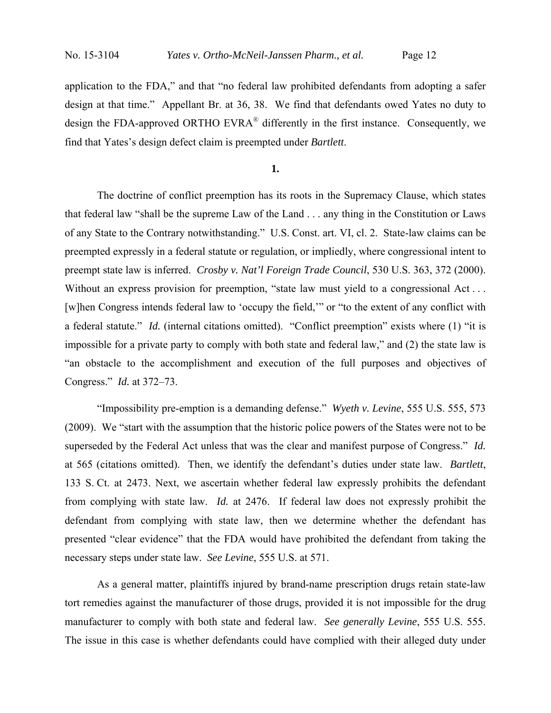application to the FDA," and that "no federal law prohibited defendants from adopting a safer design at that time." Appellant Br. at 36, 38. We find that defendants owed Yates no duty to design the FDA-approved ORTHO EVRA<sup>®</sup> differently in the first instance. Consequently, we find that Yates's design defect claim is preempted under *Bartlett*.

**1.**

The doctrine of conflict preemption has its roots in the Supremacy Clause, which states that federal law "shall be the supreme Law of the Land . . . any thing in the Constitution or Laws of any State to the Contrary notwithstanding." U.S. Const. art. VI, cl. 2. State-law claims can be preempted expressly in a federal statute or regulation, or impliedly, where congressional intent to preempt state law is inferred. *Crosby v. Nat'l Foreign Trade Council*, 530 U.S. 363, 372 (2000). Without an express provision for preemption, "state law must yield to a congressional Act... [w]hen Congress intends federal law to 'occupy the field,'" or "to the extent of any conflict with a federal statute." *Id.* (internal citations omitted). "Conflict preemption" exists where (1) "it is impossible for a private party to comply with both state and federal law," and (2) the state law is "an obstacle to the accomplishment and execution of the full purposes and objectives of Congress." *Id.* at 372–73.

"Impossibility pre-emption is a demanding defense." *Wyeth v. Levine*, 555 U.S. 555, 573 (2009). We "start with the assumption that the historic police powers of the States were not to be superseded by the Federal Act unless that was the clear and manifest purpose of Congress." *Id.* at 565 (citations omitted). Then, we identify the defendant's duties under state law. *Bartlett*, 133 S. Ct. at 2473. Next, we ascertain whether federal law expressly prohibits the defendant from complying with state law. *Id.* at 2476. If federal law does not expressly prohibit the defendant from complying with state law, then we determine whether the defendant has presented "clear evidence" that the FDA would have prohibited the defendant from taking the necessary steps under state law. *See Levine*, 555 U.S. at 571.

As a general matter, plaintiffs injured by brand-name prescription drugs retain state-law tort remedies against the manufacturer of those drugs, provided it is not impossible for the drug manufacturer to comply with both state and federal law. *See generally Levine*, 555 U.S. 555. The issue in this case is whether defendants could have complied with their alleged duty under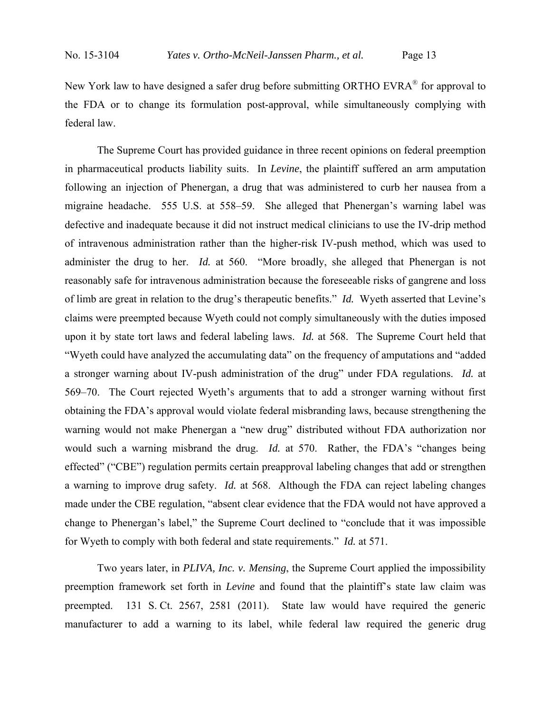New York law to have designed a safer drug before submitting ORTHO EVRA® for approval to the FDA or to change its formulation post-approval, while simultaneously complying with federal law.

The Supreme Court has provided guidance in three recent opinions on federal preemption in pharmaceutical products liability suits. In *Levine*, the plaintiff suffered an arm amputation following an injection of Phenergan, a drug that was administered to curb her nausea from a migraine headache. 555 U.S. at 558–59. She alleged that Phenergan's warning label was defective and inadequate because it did not instruct medical clinicians to use the IV-drip method of intravenous administration rather than the higher-risk IV-push method, which was used to administer the drug to her. *Id.* at 560. "More broadly, she alleged that Phenergan is not reasonably safe for intravenous administration because the foreseeable risks of gangrene and loss of limb are great in relation to the drug's therapeutic benefits." *Id.* Wyeth asserted that Levine's claims were preempted because Wyeth could not comply simultaneously with the duties imposed upon it by state tort laws and federal labeling laws. *Id.* at 568. The Supreme Court held that "Wyeth could have analyzed the accumulating data" on the frequency of amputations and "added a stronger warning about IV-push administration of the drug" under FDA regulations. *Id.* at 569–70. The Court rejected Wyeth's arguments that to add a stronger warning without first obtaining the FDA's approval would violate federal misbranding laws, because strengthening the warning would not make Phenergan a "new drug" distributed without FDA authorization nor would such a warning misbrand the drug. *Id.* at 570. Rather, the FDA's "changes being effected" ("CBE") regulation permits certain preapproval labeling changes that add or strengthen a warning to improve drug safety. *Id.* at 568. Although the FDA can reject labeling changes made under the CBE regulation, "absent clear evidence that the FDA would not have approved a change to Phenergan's label," the Supreme Court declined to "conclude that it was impossible for Wyeth to comply with both federal and state requirements." *Id.* at 571.

Two years later, in *PLIVA, Inc. v. Mensing*, the Supreme Court applied the impossibility preemption framework set forth in *Levine* and found that the plaintiff's state law claim was preempted. 131 S. Ct. 2567, 2581 (2011). State law would have required the generic manufacturer to add a warning to its label, while federal law required the generic drug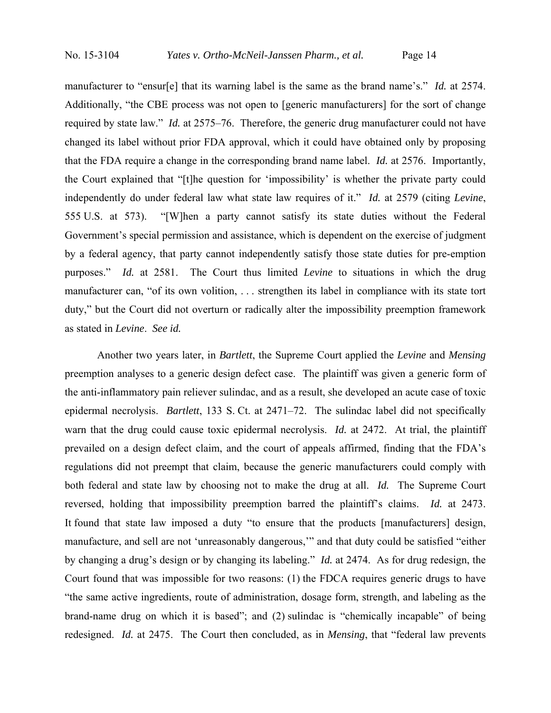manufacturer to "ensur[e] that its warning label is the same as the brand name's." *Id.* at 2574. Additionally, "the CBE process was not open to [generic manufacturers] for the sort of change required by state law." *Id.* at 2575–76. Therefore, the generic drug manufacturer could not have changed its label without prior FDA approval, which it could have obtained only by proposing that the FDA require a change in the corresponding brand name label. *Id.* at 2576. Importantly, the Court explained that "[t]he question for 'impossibility' is whether the private party could independently do under federal law what state law requires of it." *Id.* at 2579 (citing *Levine*, 555 U.S. at 573). "[W]hen a party cannot satisfy its state duties without the Federal Government's special permission and assistance, which is dependent on the exercise of judgment by a federal agency, that party cannot independently satisfy those state duties for pre-emption purposes." *Id.* at 2581. The Court thus limited *Levine* to situations in which the drug manufacturer can, "of its own volition, . . . strengthen its label in compliance with its state tort duty," but the Court did not overturn or radically alter the impossibility preemption framework as stated in *Levine*. *See id.*

Another two years later, in *Bartlett*, the Supreme Court applied the *Levine* and *Mensing* preemption analyses to a generic design defect case. The plaintiff was given a generic form of the anti-inflammatory pain reliever sulindac, and as a result, she developed an acute case of toxic epidermal necrolysis. *Bartlett*, 133 S. Ct. at 2471–72. The sulindac label did not specifically warn that the drug could cause toxic epidermal necrolysis. *Id.* at 2472. At trial, the plaintiff prevailed on a design defect claim, and the court of appeals affirmed, finding that the FDA's regulations did not preempt that claim, because the generic manufacturers could comply with both federal and state law by choosing not to make the drug at all. *Id.* The Supreme Court reversed, holding that impossibility preemption barred the plaintiff's claims. *Id.* at 2473. It found that state law imposed a duty "to ensure that the products [manufacturers] design, manufacture, and sell are not 'unreasonably dangerous,'" and that duty could be satisfied "either by changing a drug's design or by changing its labeling." *Id.* at 2474. As for drug redesign, the Court found that was impossible for two reasons: (1) the FDCA requires generic drugs to have "the same active ingredients, route of administration, dosage form, strength, and labeling as the brand-name drug on which it is based"; and (2) sulindac is "chemically incapable" of being redesigned. *Id.* at 2475. The Court then concluded, as in *Mensing*, that "federal law prevents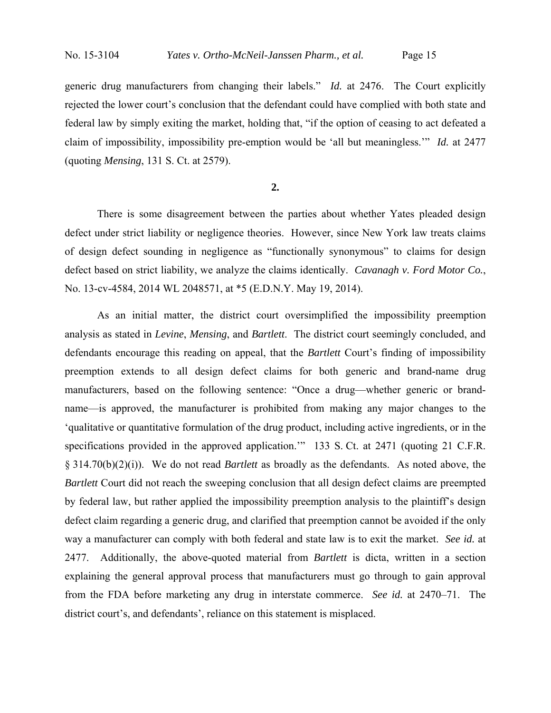generic drug manufacturers from changing their labels." *Id.* at 2476. The Court explicitly rejected the lower court's conclusion that the defendant could have complied with both state and federal law by simply exiting the market, holding that, "if the option of ceasing to act defeated a claim of impossibility, impossibility pre-emption would be 'all but meaningless.'" *Id.* at 2477 (quoting *Mensing*, 131 S. Ct. at 2579).

## **2.**

There is some disagreement between the parties about whether Yates pleaded design defect under strict liability or negligence theories. However, since New York law treats claims of design defect sounding in negligence as "functionally synonymous" to claims for design defect based on strict liability, we analyze the claims identically. *Cavanagh v. Ford Motor Co.*, No. 13-cv-4584, 2014 WL 2048571, at \*5 (E.D.N.Y. May 19, 2014).

As an initial matter, the district court oversimplified the impossibility preemption analysis as stated in *Levine*, *Mensing*, and *Bartlett*. The district court seemingly concluded, and defendants encourage this reading on appeal, that the *Bartlett* Court's finding of impossibility preemption extends to all design defect claims for both generic and brand-name drug manufacturers, based on the following sentence: "Once a drug—whether generic or brandname—is approved, the manufacturer is prohibited from making any major changes to the 'qualitative or quantitative formulation of the drug product, including active ingredients, or in the specifications provided in the approved application.'" 133 S. Ct. at 2471 (quoting 21 C.F.R. § 314.70(b)(2)(i)). We do not read *Bartlett* as broadly as the defendants. As noted above, the *Bartlett* Court did not reach the sweeping conclusion that all design defect claims are preempted by federal law, but rather applied the impossibility preemption analysis to the plaintiff's design defect claim regarding a generic drug, and clarified that preemption cannot be avoided if the only way a manufacturer can comply with both federal and state law is to exit the market. *See id.* at 2477. Additionally, the above-quoted material from *Bartlett* is dicta, written in a section explaining the general approval process that manufacturers must go through to gain approval from the FDA before marketing any drug in interstate commerce. *See id.* at 2470–71. The district court's, and defendants', reliance on this statement is misplaced.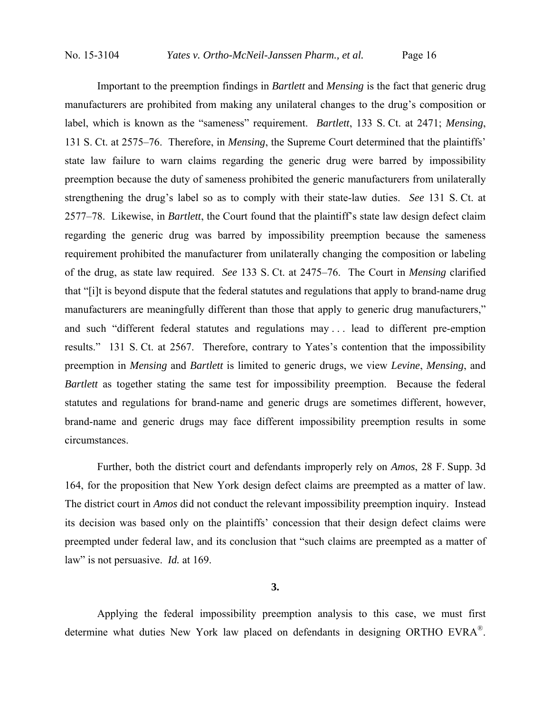Important to the preemption findings in *Bartlett* and *Mensing* is the fact that generic drug manufacturers are prohibited from making any unilateral changes to the drug's composition or label, which is known as the "sameness" requirement. *Bartlett*, 133 S. Ct. at 2471; *Mensing*, 131 S. Ct. at 2575–76. Therefore, in *Mensing*, the Supreme Court determined that the plaintiffs' state law failure to warn claims regarding the generic drug were barred by impossibility preemption because the duty of sameness prohibited the generic manufacturers from unilaterally strengthening the drug's label so as to comply with their state-law duties. *See* 131 S. Ct. at 2577–78. Likewise, in *Bartlett*, the Court found that the plaintiff's state law design defect claim regarding the generic drug was barred by impossibility preemption because the sameness requirement prohibited the manufacturer from unilaterally changing the composition or labeling of the drug, as state law required. *See* 133 S. Ct. at 2475–76. The Court in *Mensing* clarified that "[i]t is beyond dispute that the federal statutes and regulations that apply to brand-name drug manufacturers are meaningfully different than those that apply to generic drug manufacturers," and such "different federal statutes and regulations may . . . lead to different pre-emption results." 131 S. Ct. at 2567. Therefore, contrary to Yates's contention that the impossibility preemption in *Mensing* and *Bartlett* is limited to generic drugs, we view *Levine*, *Mensing*, and *Bartlett* as together stating the same test for impossibility preemption. Because the federal statutes and regulations for brand-name and generic drugs are sometimes different, however, brand-name and generic drugs may face different impossibility preemption results in some circumstances.

Further, both the district court and defendants improperly rely on *Amos*, 28 F. Supp. 3d 164, for the proposition that New York design defect claims are preempted as a matter of law. The district court in *Amos* did not conduct the relevant impossibility preemption inquiry. Instead its decision was based only on the plaintiffs' concession that their design defect claims were preempted under federal law, and its conclusion that "such claims are preempted as a matter of law" is not persuasive. *Id.* at 169.

## **3.**

Applying the federal impossibility preemption analysis to this case, we must first determine what duties New York law placed on defendants in designing ORTHO EVRA®.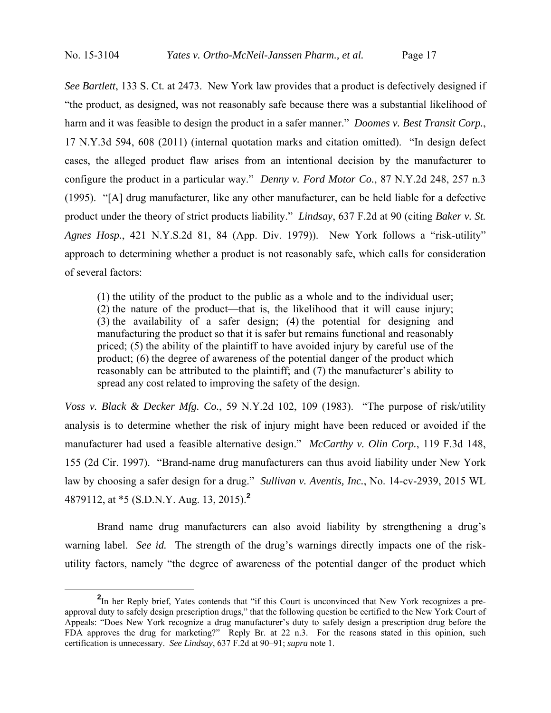*See Bartlett*, 133 S. Ct. at 2473. New York law provides that a product is defectively designed if "the product, as designed, was not reasonably safe because there was a substantial likelihood of harm and it was feasible to design the product in a safer manner." *Doomes v. Best Transit Corp.*, 17 N.Y.3d 594, 608 (2011) (internal quotation marks and citation omitted). "In design defect cases, the alleged product flaw arises from an intentional decision by the manufacturer to configure the product in a particular way." *Denny v. Ford Motor Co.*, 87 N.Y.2d 248, 257 n.3 (1995). "[A] drug manufacturer, like any other manufacturer, can be held liable for a defective product under the theory of strict products liability." *Lindsay*, 637 F.2d at 90 (citing *Baker v. St. Agnes Hosp.*, 421 N.Y.S.2d 81, 84 (App. Div. 1979)). New York follows a "risk-utility" approach to determining whether a product is not reasonably safe, which calls for consideration of several factors:

(1) the utility of the product to the public as a whole and to the individual user; (2) the nature of the product—that is, the likelihood that it will cause injury; (3) the availability of a safer design; (4) the potential for designing and manufacturing the product so that it is safer but remains functional and reasonably priced; (5) the ability of the plaintiff to have avoided injury by careful use of the product; (6) the degree of awareness of the potential danger of the product which reasonably can be attributed to the plaintiff; and (7) the manufacturer's ability to spread any cost related to improving the safety of the design.

*Voss v. Black & Decker Mfg. Co.*, 59 N.Y.2d 102, 109 (1983). "The purpose of risk/utility analysis is to determine whether the risk of injury might have been reduced or avoided if the manufacturer had used a feasible alternative design." *McCarthy v. Olin Corp.*, 119 F.3d 148, 155 (2d Cir. 1997). "Brand-name drug manufacturers can thus avoid liability under New York law by choosing a safer design for a drug." *Sullivan v. Aventis, Inc.*, No. 14-cv-2939, 2015 WL 4879112, at \*5 (S.D.N.Y. Aug. 13, 2015).**<sup>2</sup>**

 Brand name drug manufacturers can also avoid liability by strengthening a drug's warning label. *See id.* The strength of the drug's warnings directly impacts one of the riskutility factors, namely "the degree of awareness of the potential danger of the product which

**<sup>2</sup>** <sup>2</sup>In her Reply brief, Yates contends that "if this Court is unconvinced that New York recognizes a preapproval duty to safely design prescription drugs," that the following question be certified to the New York Court of Appeals: "Does New York recognize a drug manufacturer's duty to safely design a prescription drug before the FDA approves the drug for marketing?" Reply Br. at 22 n.3. For the reasons stated in this opinion, such certification is unnecessary. *See Lindsay*, 637 F.2d at 90–91; *supra* note 1.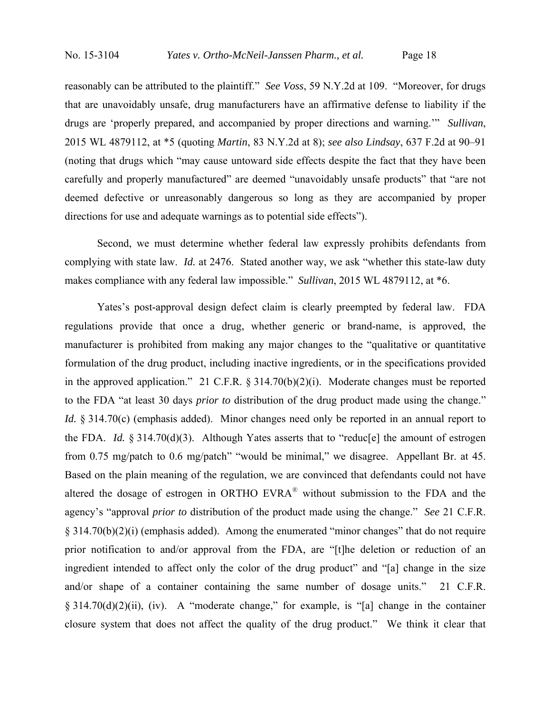reasonably can be attributed to the plaintiff." *See Voss*, 59 N.Y.2d at 109. "Moreover, for drugs that are unavoidably unsafe, drug manufacturers have an affirmative defense to liability if the drugs are 'properly prepared, and accompanied by proper directions and warning.'" *Sullivan*, 2015 WL 4879112, at \*5 (quoting *Martin*, 83 N.Y.2d at 8); *see also Lindsay*, 637 F.2d at 90–91 (noting that drugs which "may cause untoward side effects despite the fact that they have been carefully and properly manufactured" are deemed "unavoidably unsafe products" that "are not deemed defective or unreasonably dangerous so long as they are accompanied by proper directions for use and adequate warnings as to potential side effects").

Second, we must determine whether federal law expressly prohibits defendants from complying with state law. *Id.* at 2476. Stated another way, we ask "whether this state-law duty makes compliance with any federal law impossible." *Sullivan*, 2015 WL 4879112, at \*6.

Yates's post-approval design defect claim is clearly preempted by federal law. FDA regulations provide that once a drug, whether generic or brand-name, is approved, the manufacturer is prohibited from making any major changes to the "qualitative or quantitative formulation of the drug product, including inactive ingredients, or in the specifications provided in the approved application." 21 C.F.R. § 314.70(b)(2)(i). Moderate changes must be reported to the FDA "at least 30 days *prior to* distribution of the drug product made using the change." *Id.* § 314.70(c) (emphasis added). Minor changes need only be reported in an annual report to the FDA. *Id.* § 314.70(d)(3). Although Yates asserts that to "reduc[e] the amount of estrogen from 0.75 mg/patch to 0.6 mg/patch" "would be minimal," we disagree. Appellant Br. at 45. Based on the plain meaning of the regulation, we are convinced that defendants could not have altered the dosage of estrogen in ORTHO EVRA® without submission to the FDA and the agency's "approval *prior to* distribution of the product made using the change." *See* 21 C.F.R. § 314.70(b)(2)(i) (emphasis added). Among the enumerated "minor changes" that do not require prior notification to and/or approval from the FDA, are "[t]he deletion or reduction of an ingredient intended to affect only the color of the drug product" and "[a] change in the size and/or shape of a container containing the same number of dosage units." 21 C.F.R. § 314.70(d)(2)(ii), (iv). A "moderate change," for example, is "[a] change in the container closure system that does not affect the quality of the drug product." We think it clear that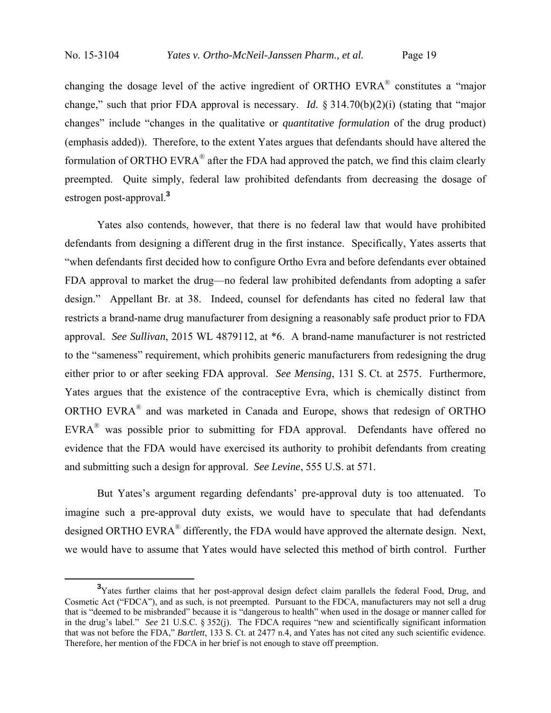changing the dosage level of the active ingredient of ORTHO EVRA® constitutes a "major change," such that prior FDA approval is necessary. *Id.* § 314.70(b)(2)(i) (stating that "major changes" include "changes in the qualitative or *quantitative formulation* of the drug product) (emphasis added)). Therefore, to the extent Yates argues that defendants should have altered the formulation of ORTHO EVRA® after the FDA had approved the patch, we find this claim clearly preempted. Quite simply, federal law prohibited defendants from decreasing the dosage of estrogen post-approval.**<sup>3</sup>**

Yates also contends, however, that there is no federal law that would have prohibited defendants from designing a different drug in the first instance. Specifically, Yates asserts that "when defendants first decided how to configure Ortho Evra and before defendants ever obtained FDA approval to market the drug—no federal law prohibited defendants from adopting a safer design." Appellant Br. at 38. Indeed, counsel for defendants has cited no federal law that restricts a brand-name drug manufacturer from designing a reasonably safe product prior to FDA approval. *See Sullivan*, 2015 WL 4879112, at \*6. A brand-name manufacturer is not restricted to the "sameness" requirement, which prohibits generic manufacturers from redesigning the drug either prior to or after seeking FDA approval. *See Mensing*, 131 S. Ct. at 2575. Furthermore, Yates argues that the existence of the contraceptive Evra, which is chemically distinct from ORTHO EVRA® and was marketed in Canada and Europe, shows that redesign of ORTHO EVRA® was possible prior to submitting for FDA approval. Defendants have offered no evidence that the FDA would have exercised its authority to prohibit defendants from creating and submitting such a design for approval. *See Levine*, 555 U.S. at 571.

But Yates's argument regarding defendants' pre-approval duty is too attenuated. To imagine such a pre-approval duty exists, we would have to speculate that had defendants designed ORTHO EVRA<sup>®</sup> differently, the FDA would have approved the alternate design. Next, we would have to assume that Yates would have selected this method of birth control. Further

**<sup>3</sup>** <sup>3</sup>Yates further claims that her post-approval design defect claim parallels the federal Food, Drug, and Cosmetic Act ("FDCA"), and as such, is not preempted. Pursuant to the FDCA, manufacturers may not sell a drug that is "deemed to be misbranded" because it is "dangerous to health" when used in the dosage or manner called for in the drug's label." *See* 21 U.S.C. § 352(j). The FDCA requires "new and scientifically significant information that was not before the FDA," *Bartlett*, 133 S. Ct. at 2477 n.4, and Yates has not cited any such scientific evidence. Therefore, her mention of the FDCA in her brief is not enough to stave off preemption.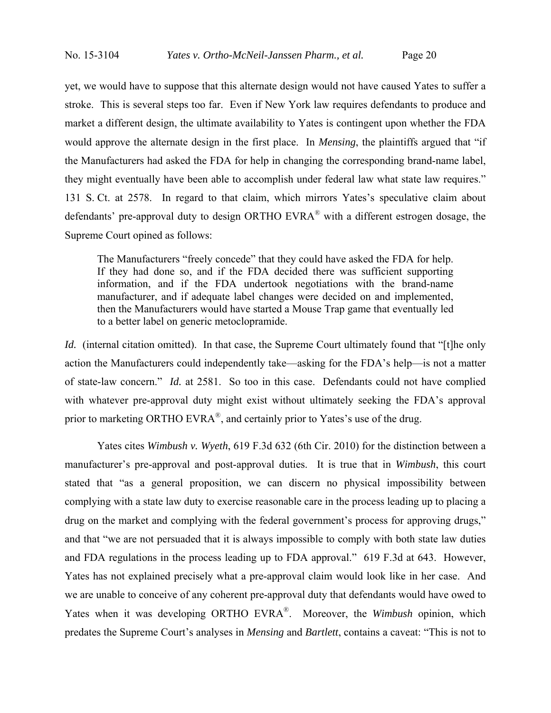yet, we would have to suppose that this alternate design would not have caused Yates to suffer a stroke. This is several steps too far. Even if New York law requires defendants to produce and market a different design, the ultimate availability to Yates is contingent upon whether the FDA would approve the alternate design in the first place. In *Mensing*, the plaintiffs argued that "if the Manufacturers had asked the FDA for help in changing the corresponding brand-name label, they might eventually have been able to accomplish under federal law what state law requires." 131 S. Ct. at 2578. In regard to that claim, which mirrors Yates's speculative claim about defendants' pre-approval duty to design ORTHO EVRA® with a different estrogen dosage, the Supreme Court opined as follows:

The Manufacturers "freely concede" that they could have asked the FDA for help. If they had done so, and if the FDA decided there was sufficient supporting information, and if the FDA undertook negotiations with the brand-name manufacturer, and if adequate label changes were decided on and implemented, then the Manufacturers would have started a Mouse Trap game that eventually led to a better label on generic metoclopramide.

*Id.* (internal citation omitted). In that case, the Supreme Court ultimately found that "[t]he only action the Manufacturers could independently take—asking for the FDA's help—is not a matter of state-law concern." *Id.* at 2581. So too in this case. Defendants could not have complied with whatever pre-approval duty might exist without ultimately seeking the FDA's approval prior to marketing ORTHO EVRA<sup>®</sup>, and certainly prior to Yates's use of the drug.

Yates cites *Wimbush v. Wyeth*, 619 F.3d 632 (6th Cir. 2010) for the distinction between a manufacturer's pre-approval and post-approval duties. It is true that in *Wimbush*, this court stated that "as a general proposition, we can discern no physical impossibility between complying with a state law duty to exercise reasonable care in the process leading up to placing a drug on the market and complying with the federal government's process for approving drugs," and that "we are not persuaded that it is always impossible to comply with both state law duties and FDA regulations in the process leading up to FDA approval." 619 F.3d at 643. However, Yates has not explained precisely what a pre-approval claim would look like in her case. And we are unable to conceive of any coherent pre-approval duty that defendants would have owed to Yates when it was developing ORTHO EVRA®. Moreover, the *Wimbush* opinion, which predates the Supreme Court's analyses in *Mensing* and *Bartlett*, contains a caveat: "This is not to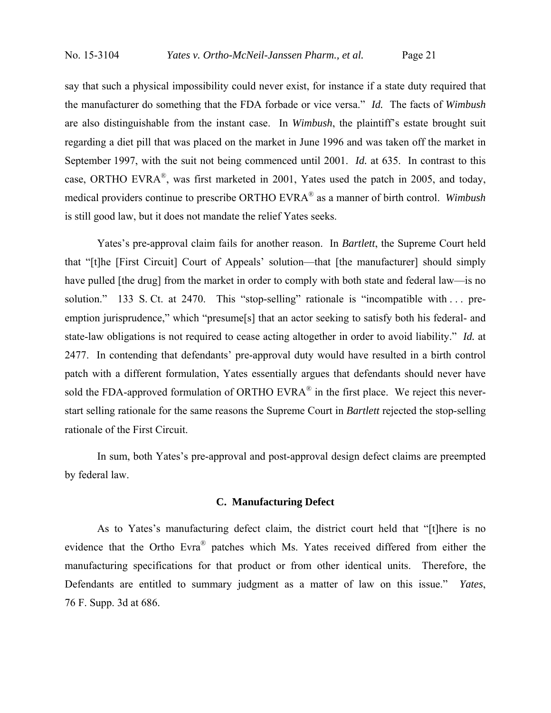say that such a physical impossibility could never exist, for instance if a state duty required that the manufacturer do something that the FDA forbade or vice versa." *Id.* The facts of *Wimbush* are also distinguishable from the instant case. In *Wimbush*, the plaintiff's estate brought suit regarding a diet pill that was placed on the market in June 1996 and was taken off the market in September 1997, with the suit not being commenced until 2001. *Id.* at 635. In contrast to this case, ORTHO EVRA®, was first marketed in 2001, Yates used the patch in 2005, and today, medical providers continue to prescribe ORTHO EVRA® as a manner of birth control. *Wimbush* is still good law, but it does not mandate the relief Yates seeks.

Yates's pre-approval claim fails for another reason. In *Bartlett*, the Supreme Court held that "[t]he [First Circuit] Court of Appeals' solution—that [the manufacturer] should simply have pulled [the drug] from the market in order to comply with both state and federal law—is no solution." 133 S. Ct. at 2470. This "stop-selling" rationale is "incompatible with ... preemption jurisprudence," which "presume[s] that an actor seeking to satisfy both his federal- and state-law obligations is not required to cease acting altogether in order to avoid liability." *Id.* at 2477. In contending that defendants' pre-approval duty would have resulted in a birth control patch with a different formulation, Yates essentially argues that defendants should never have sold the FDA-approved formulation of ORTHO EVRA<sup>®</sup> in the first place. We reject this neverstart selling rationale for the same reasons the Supreme Court in *Bartlett* rejected the stop-selling rationale of the First Circuit.

In sum, both Yates's pre-approval and post-approval design defect claims are preempted by federal law.

# **C. Manufacturing Defect**

 As to Yates's manufacturing defect claim, the district court held that "[t]here is no evidence that the Ortho Evra® patches which Ms. Yates received differed from either the manufacturing specifications for that product or from other identical units. Therefore, the Defendants are entitled to summary judgment as a matter of law on this issue." *Yates*, 76 F. Supp. 3d at 686.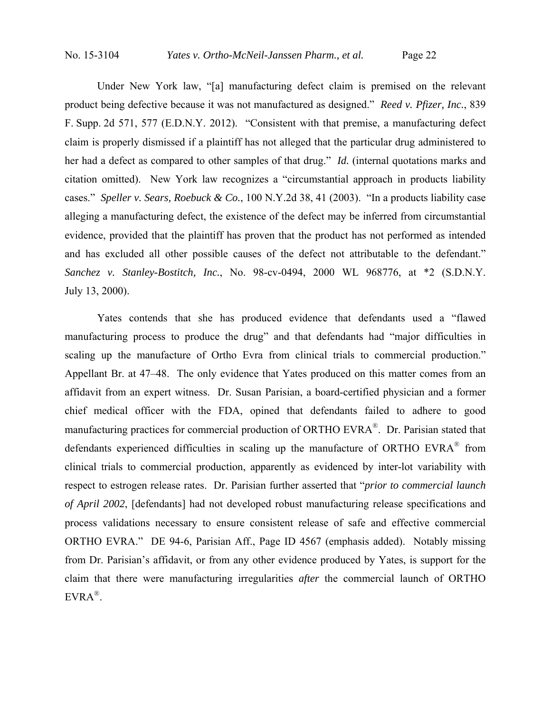Under New York law, "[a] manufacturing defect claim is premised on the relevant product being defective because it was not manufactured as designed." *Reed v. Pfizer, Inc.*, 839 F. Supp. 2d 571, 577 (E.D.N.Y. 2012). "Consistent with that premise, a manufacturing defect claim is properly dismissed if a plaintiff has not alleged that the particular drug administered to her had a defect as compared to other samples of that drug." *Id.* (internal quotations marks and citation omitted). New York law recognizes a "circumstantial approach in products liability cases." *Speller v. Sears, Roebuck & Co.*, 100 N.Y.2d 38, 41 (2003). "In a products liability case alleging a manufacturing defect, the existence of the defect may be inferred from circumstantial evidence, provided that the plaintiff has proven that the product has not performed as intended and has excluded all other possible causes of the defect not attributable to the defendant." *Sanchez v. Stanley-Bostitch, Inc.*, No. 98-cv-0494, 2000 WL 968776, at \*2 (S.D.N.Y. July 13, 2000).

Yates contends that she has produced evidence that defendants used a "flawed manufacturing process to produce the drug" and that defendants had "major difficulties in scaling up the manufacture of Ortho Evra from clinical trials to commercial production." Appellant Br. at 47–48. The only evidence that Yates produced on this matter comes from an affidavit from an expert witness. Dr. Susan Parisian, a board-certified physician and a former chief medical officer with the FDA, opined that defendants failed to adhere to good manufacturing practices for commercial production of ORTHO EVRA<sup>®</sup>. Dr. Parisian stated that defendants experienced difficulties in scaling up the manufacture of ORTHO EVR $A^{\circ}$  from clinical trials to commercial production, apparently as evidenced by inter-lot variability with respect to estrogen release rates. Dr. Parisian further asserted that "*prior to commercial launch of April 2002*, [defendants] had not developed robust manufacturing release specifications and process validations necessary to ensure consistent release of safe and effective commercial ORTHO EVRA." DE 94-6, Parisian Aff., Page ID 4567 (emphasis added). Notably missing from Dr. Parisian's affidavit, or from any other evidence produced by Yates, is support for the claim that there were manufacturing irregularities *after* the commercial launch of ORTHO EVRA®.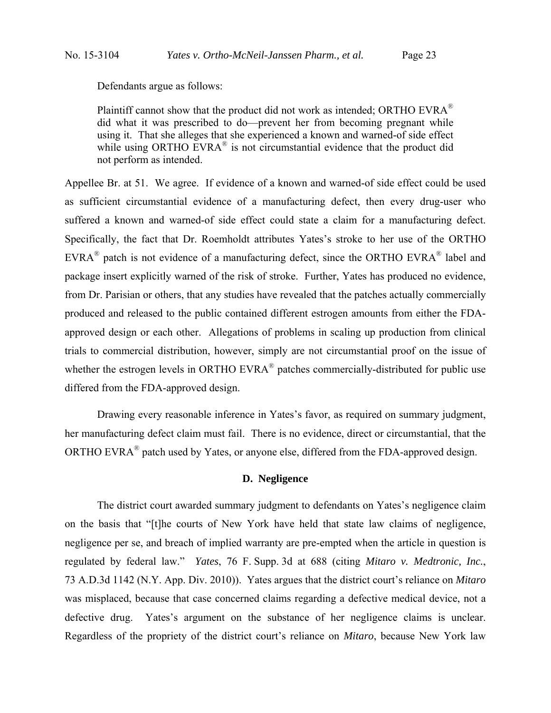Defendants argue as follows:

Plaintiff cannot show that the product did not work as intended; ORTHO EVRA $^{\circ}$ did what it was prescribed to do—prevent her from becoming pregnant while using it. That she alleges that she experienced a known and warned-of side effect while using ORTHO EVRA<sup>®</sup> is not circumstantial evidence that the product did not perform as intended.

Appellee Br. at 51. We agree. If evidence of a known and warned-of side effect could be used as sufficient circumstantial evidence of a manufacturing defect, then every drug-user who suffered a known and warned-of side effect could state a claim for a manufacturing defect. Specifically, the fact that Dr. Roemholdt attributes Yates's stroke to her use of the ORTHO EVRA® patch is not evidence of a manufacturing defect, since the ORTHO EVRA® label and package insert explicitly warned of the risk of stroke. Further, Yates has produced no evidence, from Dr. Parisian or others, that any studies have revealed that the patches actually commercially produced and released to the public contained different estrogen amounts from either the FDAapproved design or each other. Allegations of problems in scaling up production from clinical trials to commercial distribution, however, simply are not circumstantial proof on the issue of whether the estrogen levels in ORTHO EVRA<sup>®</sup> patches commercially-distributed for public use differed from the FDA-approved design.

 Drawing every reasonable inference in Yates's favor, as required on summary judgment, her manufacturing defect claim must fail. There is no evidence, direct or circumstantial, that the ORTHO EVRA® patch used by Yates, or anyone else, differed from the FDA-approved design.

# **D. Negligence**

 The district court awarded summary judgment to defendants on Yates's negligence claim on the basis that "[t]he courts of New York have held that state law claims of negligence, negligence per se, and breach of implied warranty are pre-empted when the article in question is regulated by federal law." *Yates*, 76 F. Supp. 3d at 688 (citing *Mitaro v. Medtronic, Inc.*, 73 A.D.3d 1142 (N.Y. App. Div. 2010)). Yates argues that the district court's reliance on *Mitaro* was misplaced, because that case concerned claims regarding a defective medical device, not a defective drug. Yates's argument on the substance of her negligence claims is unclear. Regardless of the propriety of the district court's reliance on *Mitaro*, because New York law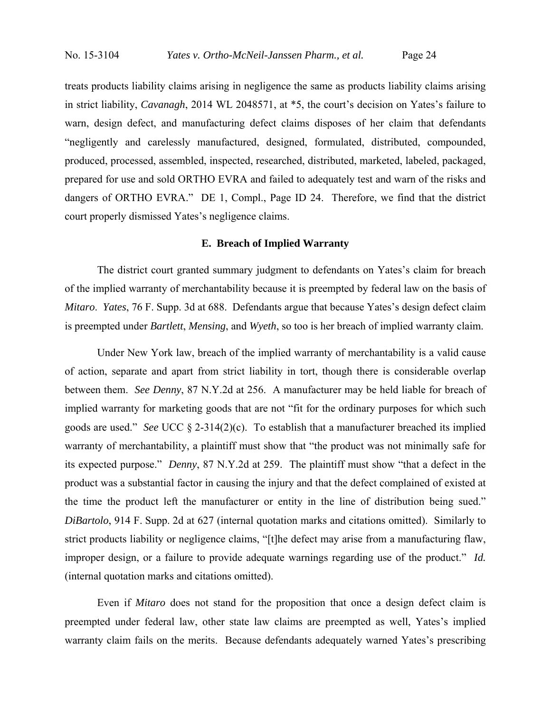treats products liability claims arising in negligence the same as products liability claims arising in strict liability, *Cavanagh*, 2014 WL 2048571, at \*5, the court's decision on Yates's failure to warn, design defect, and manufacturing defect claims disposes of her claim that defendants "negligently and carelessly manufactured, designed, formulated, distributed, compounded, produced, processed, assembled, inspected, researched, distributed, marketed, labeled, packaged, prepared for use and sold ORTHO EVRA and failed to adequately test and warn of the risks and dangers of ORTHO EVRA." DE 1, Compl., Page ID 24. Therefore, we find that the district court properly dismissed Yates's negligence claims.

## **E. Breach of Implied Warranty**

 The district court granted summary judgment to defendants on Yates's claim for breach of the implied warranty of merchantability because it is preempted by federal law on the basis of *Mitaro*. *Yates*, 76 F. Supp. 3d at 688. Defendants argue that because Yates's design defect claim is preempted under *Bartlett*, *Mensing*, and *Wyeth*, so too is her breach of implied warranty claim.

 Under New York law, breach of the implied warranty of merchantability is a valid cause of action, separate and apart from strict liability in tort, though there is considerable overlap between them. *See Denny*, 87 N.Y.2d at 256. A manufacturer may be held liable for breach of implied warranty for marketing goods that are not "fit for the ordinary purposes for which such goods are used." *See* UCC § 2-314(2)(c). To establish that a manufacturer breached its implied warranty of merchantability, a plaintiff must show that "the product was not minimally safe for its expected purpose." *Denny*, 87 N.Y.2d at 259. The plaintiff must show "that a defect in the product was a substantial factor in causing the injury and that the defect complained of existed at the time the product left the manufacturer or entity in the line of distribution being sued." *DiBartolo*, 914 F. Supp. 2d at 627 (internal quotation marks and citations omitted). Similarly to strict products liability or negligence claims, "[t]he defect may arise from a manufacturing flaw, improper design, or a failure to provide adequate warnings regarding use of the product." *Id.* (internal quotation marks and citations omitted).

 Even if *Mitaro* does not stand for the proposition that once a design defect claim is preempted under federal law, other state law claims are preempted as well, Yates's implied warranty claim fails on the merits. Because defendants adequately warned Yates's prescribing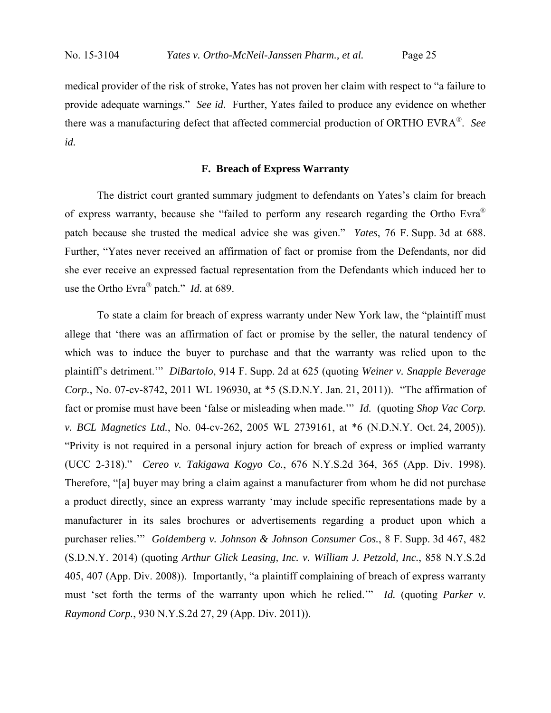medical provider of the risk of stroke, Yates has not proven her claim with respect to "a failure to provide adequate warnings." *See id.* Further, Yates failed to produce any evidence on whether there was a manufacturing defect that affected commercial production of ORTHO EVRA®. *See id.*

## **F. Breach of Express Warranty**

 The district court granted summary judgment to defendants on Yates's claim for breach of express warranty, because she "failed to perform any research regarding the Ortho Evra® patch because she trusted the medical advice she was given." *Yates*, 76 F. Supp. 3d at 688. Further, "Yates never received an affirmation of fact or promise from the Defendants, nor did she ever receive an expressed factual representation from the Defendants which induced her to use the Ortho Evra® patch." *Id.* at 689.

 To state a claim for breach of express warranty under New York law, the "plaintiff must allege that 'there was an affirmation of fact or promise by the seller, the natural tendency of which was to induce the buyer to purchase and that the warranty was relied upon to the plaintiff's detriment.'" *DiBartolo*, 914 F. Supp. 2d at 625 (quoting *Weiner v. Snapple Beverage Corp.*, No. 07-cv-8742, 2011 WL 196930, at \*5 (S.D.N.Y. Jan. 21, 2011)). "The affirmation of fact or promise must have been 'false or misleading when made.'" *Id.* (quoting *Shop Vac Corp. v. BCL Magnetics Ltd.*, No. 04-cv-262, 2005 WL 2739161, at \*6 (N.D.N.Y. Oct. 24, 2005)). "Privity is not required in a personal injury action for breach of express or implied warranty (UCC 2-318)." *Cereo v. Takigawa Kogyo Co.*, 676 N.Y.S.2d 364, 365 (App. Div. 1998). Therefore, "[a] buyer may bring a claim against a manufacturer from whom he did not purchase a product directly, since an express warranty 'may include specific representations made by a manufacturer in its sales brochures or advertisements regarding a product upon which a purchaser relies.'" *Goldemberg v. Johnson & Johnson Consumer Cos.*, 8 F. Supp. 3d 467, 482 (S.D.N.Y. 2014) (quoting *Arthur Glick Leasing, Inc. v. William J. Petzold, Inc.*, 858 N.Y.S.2d 405, 407 (App. Div. 2008)). Importantly, "a plaintiff complaining of breach of express warranty must 'set forth the terms of the warranty upon which he relied.'" *Id.* (quoting *Parker v. Raymond Corp.*, 930 N.Y.S.2d 27, 29 (App. Div. 2011)).